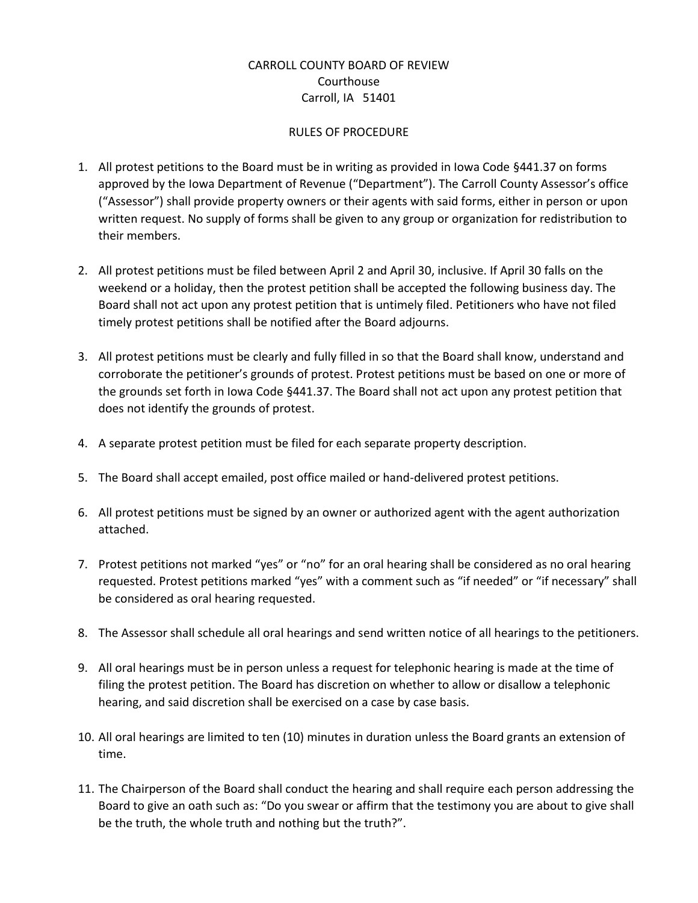## CARROLL COUNTY BOARD OF REVIEW Courthouse Carroll, IA 51401

## RULES OF PROCEDURE

- 1. All protest petitions to the Board must be in writing as provided in Iowa Code §441.37 on forms approved by the Iowa Department of Revenue ("Department"). The Carroll County Assessor's office ("Assessor") shall provide property owners or their agents with said forms, either in person or upon written request. No supply of forms shall be given to any group or organization for redistribution to their members.
- 2. All protest petitions must be filed between April 2 and April 30, inclusive. If April 30 falls on the weekend or a holiday, then the protest petition shall be accepted the following business day. The Board shall not act upon any protest petition that is untimely filed. Petitioners who have not filed timely protest petitions shall be notified after the Board adjourns.
- 3. All protest petitions must be clearly and fully filled in so that the Board shall know, understand and corroborate the petitioner's grounds of protest. Protest petitions must be based on one or more of the grounds set forth in Iowa Code §441.37. The Board shall not act upon any protest petition that does not identify the grounds of protest.
- 4. A separate protest petition must be filed for each separate property description.
- 5. The Board shall accept emailed, post office mailed or hand-delivered protest petitions.
- 6. All protest petitions must be signed by an owner or authorized agent with the agent authorization attached.
- 7. Protest petitions not marked "yes" or "no" for an oral hearing shall be considered as no oral hearing requested. Protest petitions marked "yes" with a comment such as "if needed" or "if necessary" shall be considered as oral hearing requested.
- 8. The Assessor shall schedule all oral hearings and send written notice of all hearings to the petitioners.
- 9. All oral hearings must be in person unless a request for telephonic hearing is made at the time of filing the protest petition. The Board has discretion on whether to allow or disallow a telephonic hearing, and said discretion shall be exercised on a case by case basis.
- 10. All oral hearings are limited to ten (10) minutes in duration unless the Board grants an extension of time.
- 11. The Chairperson of the Board shall conduct the hearing and shall require each person addressing the Board to give an oath such as: "Do you swear or affirm that the testimony you are about to give shall be the truth, the whole truth and nothing but the truth?".